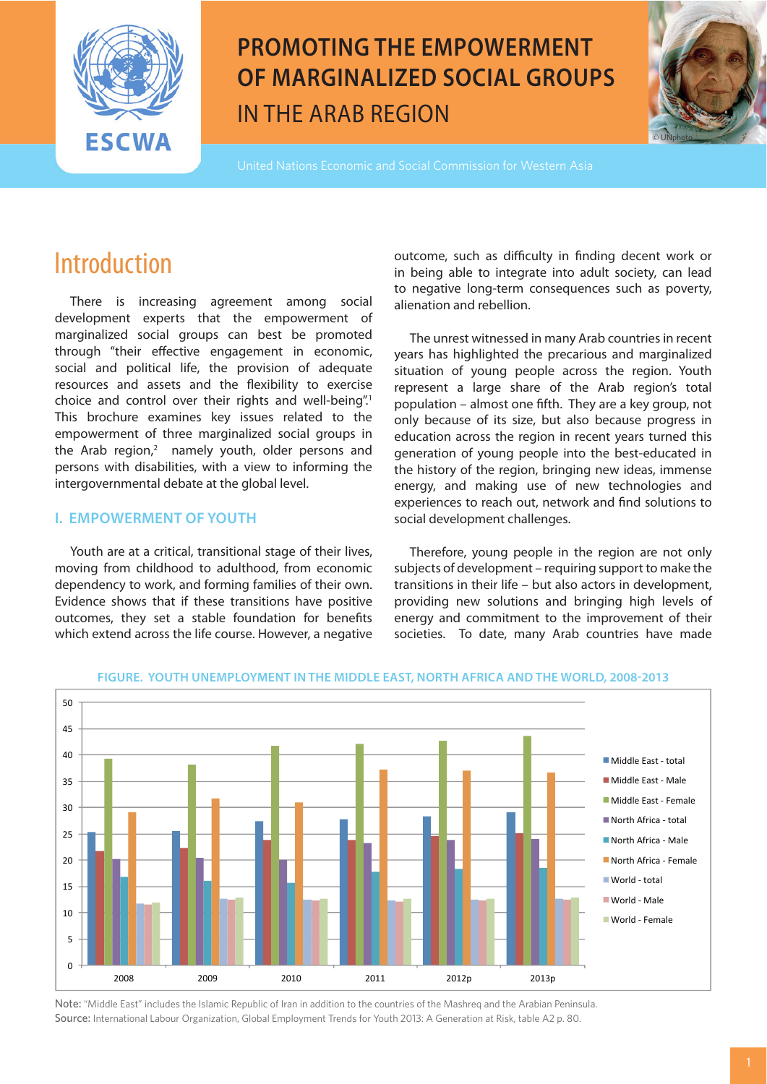

# **PROMOTING THE EMPOWERMENT OF MARGINALIZED SOCIAL GROUPS** IN THE ARAB REGION



United Nations Economic and Social Commission for Western Asia

## **Introduction**

 There is increasing agreement among social development experts that the empowerment of marginalized social groups can best be promoted through "their effective engagement in economic, social and political life, the provision of adequate resources and assets and the flexibility to exercise choice and control over their rights and well-being".<sup>1</sup> This brochure examines key issues related to the empowerment of three marginalized social groups in the Arab region, $2$  namely youth, older persons and persons with disabilities, with a view to informing the intergovernmental debate at the global level.

### **I. EMPOWERMENT OF YOUTH**

 Youth are at a critical, transitional stage of their lives, moving from childhood to adulthood, from economic dependency to work, and forming families of their own. Evidence shows that if these transitions have positive outcomes, they set a stable foundation for benefits which extend across the life course. However, a negative

outcome, such as difficulty in finding decent work or in being able to integrate into adult society, can lead to negative long-term consequences such as poverty, alienation and rebellion.

 The unrest witnessed in many Arab countries in recent years has highlighted the precarious and marginalized situation of young people across the region. Youth represent a large share of the Arab region's total population – almost one fifth. They are a key group, not only because of its size, but also because progress in education across the region in recent years turned this generation of young people into the best-educated in the history of the region, bringing new ideas, immense energy, and making use of new technologies and experiences to reach out, network and find solutions to social development challenges.

 Therefore, young people in the region are not only subjects of development – requiring support to make the transitions in their life – but also actors in development, providing new solutions and bringing high levels of energy and commitment to the improvement of their societies. To date, many Arab countries have made



**FIGURE. YOUTH UNEMPLOYMENT IN THE MIDDLE EAST, NORTH AFRICA AND THE WORLD, 2008-2013**

Note: "Middle East" includes the Islamic Republic of Iran in addition to the countries of the Mashreq and the Arabian Peninsula. Source: International Labour Organization, Global Employment Trends for Youth 2013: A Generation at Risk, table A2 p. 80.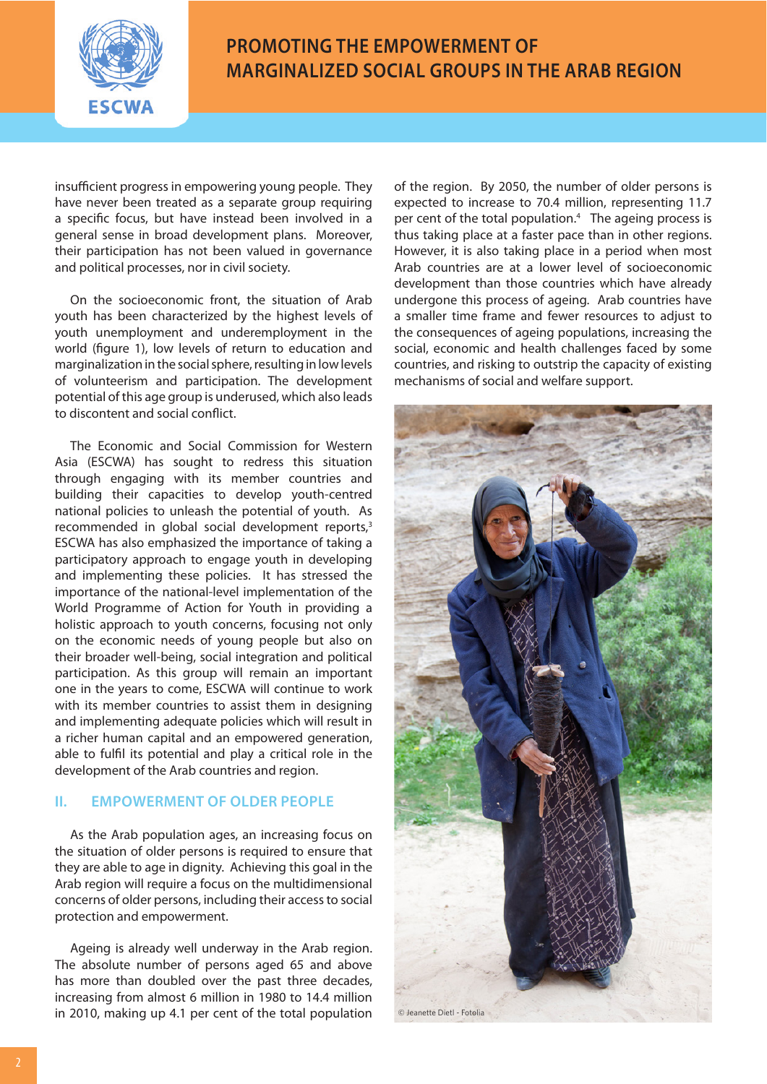

### **PROMOTING THE EMPOWERMENT OF MARGINALIZED SOCIAL GROUPS IN THE ARAB REGION**

insufficient progress in empowering young people. They have never been treated as a separate group requiring a specific focus, but have instead been involved in a general sense in broad development plans. Moreover, their participation has not been valued in governance and political processes, nor in civil society.

On the socioeconomic front, the situation of Arab youth has been characterized by the highest levels of youth unemployment and underemployment in the world (figure 1), low levels of return to education and marginalization in the social sphere, resulting in low levels of volunteerism and participation. The development potential of this age group is underused, which also leads to discontent and social conflict.

 The Economic and Social Commission for Western Asia (ESCWA) has sought to redress this situation through engaging with its member countries and building their capacities to develop youth-centred national policies to unleash the potential of youth. As recommended in global social development reports,<sup>3</sup> ESCWA has also emphasized the importance of taking a participatory approach to engage youth in developing and implementing these policies. It has stressed the importance of the national-level implementation of the World Programme of Action for Youth in providing a holistic approach to youth concerns, focusing not only on the economic needs of young people but also on their broader well-being, social integration and political participation. As this group will remain an important one in the years to come, ESCWA will continue to work with its member countries to assist them in designing and implementing adequate policies which will result in a richer human capital and an empowered generation, able to fulfil its potential and play a critical role in the development of the Arab countries and region.

#### **II. EMPOWERMENT OF OLDER PEOPLE**

 As the Arab population ages, an increasing focus on the situation of older persons is required to ensure that they are able to age in dignity. Achieving this goal in the Arab region will require a focus on the multidimensional concerns of older persons, including their access to social protection and empowerment.

 Ageing is already well underway in the Arab region. The absolute number of persons aged 65 and above has more than doubled over the past three decades, increasing from almost 6 million in 1980 to 14.4 million in 2010, making up 4.1 per cent of the total population of the region. By 2050, the number of older persons is expected to increase to 70.4 million, representing 11.7 per cent of the total population.<sup>4</sup> The ageing process is thus taking place at a faster pace than in other regions. However, it is also taking place in a period when most Arab countries are at a lower level of socioeconomic development than those countries which have already undergone this process of ageing. Arab countries have a smaller time frame and fewer resources to adjust to the consequences of ageing populations, increasing the social, economic and health challenges faced by some countries, and risking to outstrip the capacity of existing mechanisms of social and welfare support.

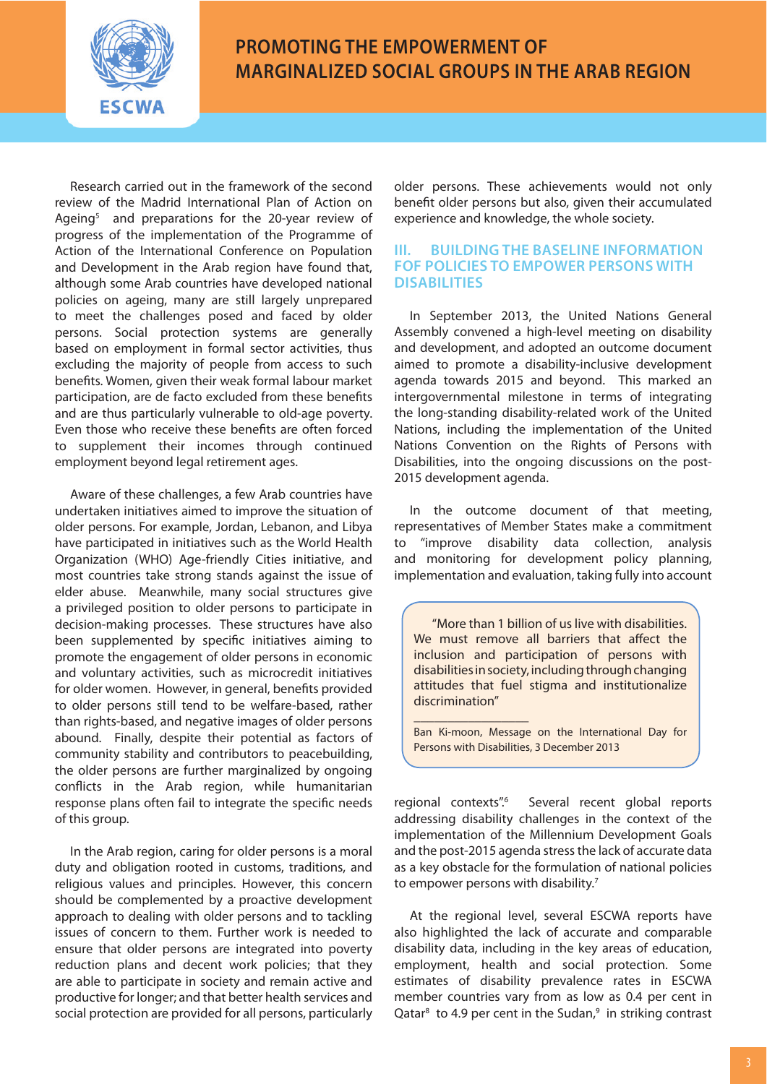

## **PROMOTING THE EMPOWERMENT OF MARGINALIZED SOCIAL GROUPS IN THE ARAB REGION**

 Research carried out in the framework of the second review of the Madrid International Plan of Action on Ageing<sup>5</sup> and preparations for the 20-year review of progress of the implementation of the Programme of Action of the International Conference on Population and Development in the Arab region have found that, although some Arab countries have developed national policies on ageing, many are still largely unprepared to meet the challenges posed and faced by older persons. Social protection systems are generally based on employment in formal sector activities, thus excluding the majority of people from access to such benefits. Women, given their weak formal labour market participation, are de facto excluded from these benefits and are thus particularly vulnerable to old-age poverty. Even those who receive these benefits are often forced to supplement their incomes through continued employment beyond legal retirement ages.

 Aware of these challenges, a few Arab countries have undertaken initiatives aimed to improve the situation of older persons. For example, Jordan, Lebanon, and Libya have participated in initiatives such as the World Health Organization (WHO) Age-friendly Cities initiative, and most countries take strong stands against the issue of elder abuse. Meanwhile, many social structures give a privileged position to older persons to participate in decision-making processes. These structures have also been supplemented by specific initiatives aiming to promote the engagement of older persons in economic and voluntary activities, such as microcredit initiatives for older women. However, in general, benefits provided to older persons still tend to be welfare-based, rather than rights-based, and negative images of older persons abound. Finally, despite their potential as factors of community stability and contributors to peacebuilding, the older persons are further marginalized by ongoing conflicts in the Arab region, while humanitarian response plans often fail to integrate the specific needs of this group.

 In the Arab region, caring for older persons is a moral duty and obligation rooted in customs, traditions, and religious values and principles. However, this concern should be complemented by a proactive development approach to dealing with older persons and to tackling issues of concern to them. Further work is needed to ensure that older persons are integrated into poverty reduction plans and decent work policies; that they are able to participate in society and remain active and productive for longer; and that better health services and social protection are provided for all persons, particularly

older persons. These achievements would not only benefit older persons but also, given their accumulated experience and knowledge, the whole society.

#### **III. BUILDING THE BASELINE INFORMATION FOF POLICIES TO EMPOWER PERSONS WITH DISABILITIES**

 In September 2013, the United Nations General Assembly convened a high-level meeting on disability and development, and adopted an outcome document aimed to promote a disability-inclusive development agenda towards 2015 and beyond. This marked an intergovernmental milestone in terms of integrating the long-standing disability-related work of the United Nations, including the implementation of the United Nations Convention on the Rights of Persons with Disabilities, into the ongoing discussions on the post-2015 development agenda.

 In the outcome document of that meeting, representatives of Member States make a commitment to "improve disability data collection, analysis and monitoring for development policy planning, implementation and evaluation, taking fully into account

"More than 1 billion of us live with disabilities. We must remove all barriers that affect the inclusion and participation of persons with disabilities in society, including through changing attitudes that fuel stigma and institutionalize discrimination"

Ban Ki-moon, Message on the International Day for Persons with Disabilities, 3 December 2013

 $\overline{\phantom{a}}$ 

regional contexts".6 Several recent global reports addressing disability challenges in the context of the implementation of the Millennium Development Goals and the post-2015 agenda stress the lack of accurate data as a key obstacle for the formulation of national policies to empower persons with disability.<sup>7</sup>

 At the regional level, several ESCWA reports have also highlighted the lack of accurate and comparable disability data, including in the key areas of education, employment, health and social protection. Some estimates of disability prevalence rates in ESCWA member countries vary from as low as 0.4 per cent in Qatar<sup>8</sup> to 4.9 per cent in the Sudan,<sup>9</sup> in striking contrast